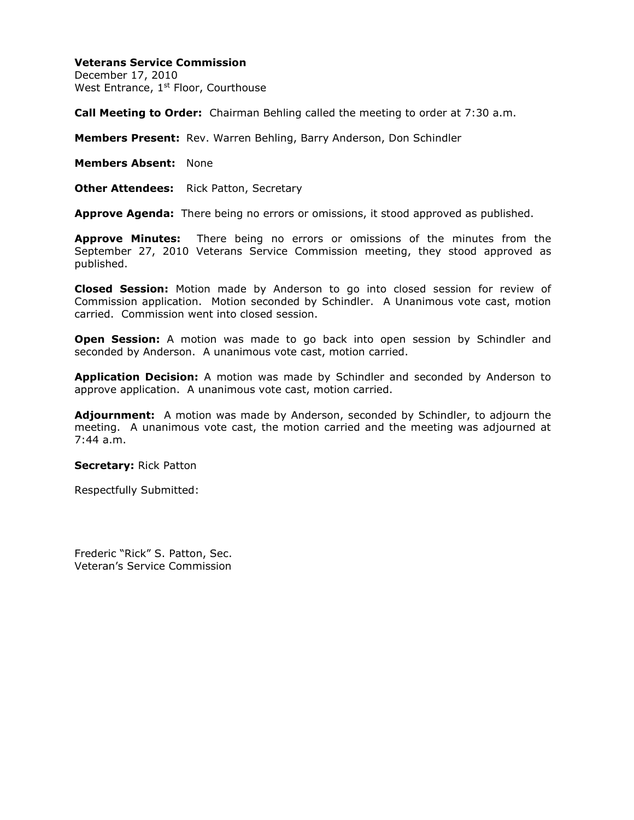## **Veterans Service Commission**

December 17, 2010 West Entrance, 1<sup>st</sup> Floor, Courthouse

**Call Meeting to Order:** Chairman Behling called the meeting to order at 7:30 a.m.

**Members Present:** Rev. Warren Behling, Barry Anderson, Don Schindler

**Members Absent:** None

**Other Attendees:** Rick Patton, Secretary

**Approve Agenda:** There being no errors or omissions, it stood approved as published.

**Approve Minutes:** There being no errors or omissions of the minutes from the September 27, 2010 Veterans Service Commission meeting, they stood approved as published.

**Closed Session:** Motion made by Anderson to go into closed session for review of Commission application. Motion seconded by Schindler. A Unanimous vote cast, motion carried. Commission went into closed session.

**Open Session:** A motion was made to go back into open session by Schindler and seconded by Anderson. A unanimous vote cast, motion carried.

**Application Decision:** A motion was made by Schindler and seconded by Anderson to approve application. A unanimous vote cast, motion carried.

**Adjournment:** A motion was made by Anderson, seconded by Schindler, to adjourn the meeting. A unanimous vote cast, the motion carried and the meeting was adjourned at 7:44 a.m.

**Secretary:** Rick Patton

Respectfully Submitted:

Frederic "Rick" S. Patton, Sec. Veteran's Service Commission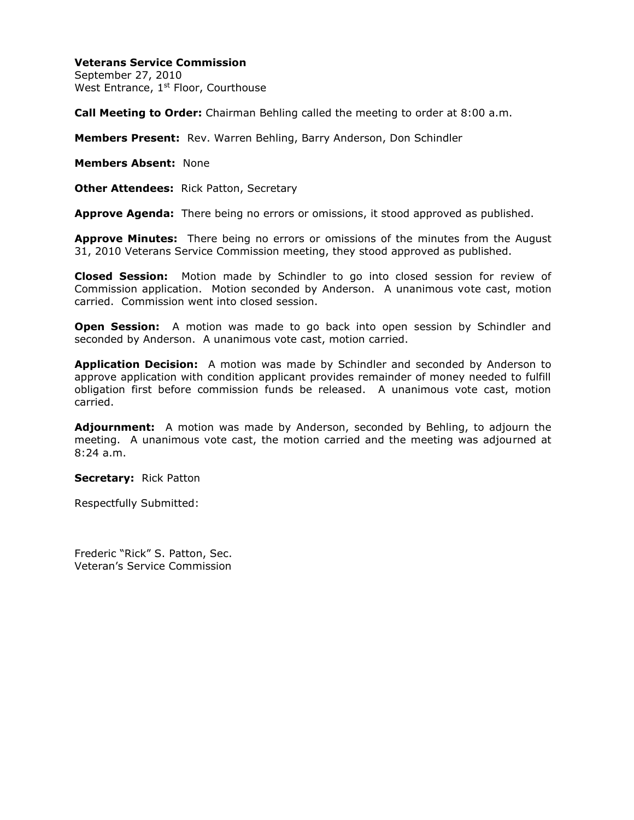## **Veterans Service Commission**

September 27, 2010 West Entrance, 1<sup>st</sup> Floor, Courthouse

**Call Meeting to Order:** Chairman Behling called the meeting to order at 8:00 a.m.

**Members Present:** Rev. Warren Behling, Barry Anderson, Don Schindler

**Members Absent:** None

**Other Attendees:** Rick Patton, Secretary

**Approve Agenda:** There being no errors or omissions, it stood approved as published.

**Approve Minutes:** There being no errors or omissions of the minutes from the August 31, 2010 Veterans Service Commission meeting, they stood approved as published.

**Closed Session:** Motion made by Schindler to go into closed session for review of Commission application. Motion seconded by Anderson. A unanimous vote cast, motion carried. Commission went into closed session.

**Open Session:** A motion was made to go back into open session by Schindler and seconded by Anderson. A unanimous vote cast, motion carried.

**Application Decision:** A motion was made by Schindler and seconded by Anderson to approve application with condition applicant provides remainder of money needed to fulfill obligation first before commission funds be released. A unanimous vote cast, motion carried.

**Adjournment:** A motion was made by Anderson, seconded by Behling, to adjourn the meeting. A unanimous vote cast, the motion carried and the meeting was adjourned at 8:24 a.m.

**Secretary:** Rick Patton

Respectfully Submitted:

Frederic "Rick" S. Patton, Sec. Veteran's Service Commission